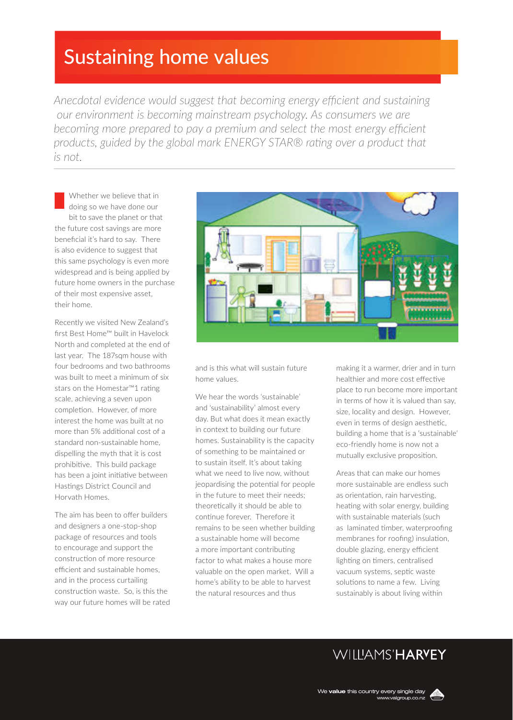# Sustaining home values

*Anecdotal evidence would suggest that becoming energy efficient and sustaining our environment is becoming mainstream psychology. As consumers we are*  becoming more prepared to pay a premium and select the most energy efficient *products, guided by the global mark ENERGY STAR® rating over a product that is not.* 

Whether we believe that in doing so we have done our bit to save the planet or that the future cost savings are more beneficial it's hard to say. There is also evidence to suggest that this same psychology is even more widespread and is being applied by future home owners in the purchase of their most expensive asset, their home.

Recently we visited New Zealand's first Best Home™ built in Havelock North and completed at the end of last year. The 187sqm house with four bedrooms and two bathrooms was built to meet a minimum of six stars on the Homestar™1 rating scale, achieving a seven upon completion. However, of more interest the home was built at no more than 5% additional cost of a standard non-sustainable home, dispelling the myth that it is cost prohibitive. This build package has been a joint initiative between Hastings District Council and Horvath Homes.

The aim has been to offer builders and designers a one-stop-shop package of resources and tools to encourage and support the construction of more resource efficient and sustainable homes, and in the process curtailing construction waste. So, is this the way our future homes will be rated



and is this what will sustain future home values.

We hear the words 'sustainable' and 'sustainability' almost every day. But what does it mean exactly in context to building our future homes. Sustainability is the capacity of something to be maintained or to sustain itself. It's about taking what we need to live now, without jeopardising the potential for people in the future to meet their needs; theoretically it should be able to continue forever. Therefore it remains to be seen whether building a sustainable home will become a more important contributing factor to what makes a house more valuable on the open market. Will a home's ability to be able to harvest the natural resources and thus

making it a warmer, drier and in turn healthier and more cost effective place to run become more important in terms of how it is valued than say, size, locality and design. However, even in terms of design aesthetic, building a home that is a 'sustainable' eco-friendly home is now not a mutually exclusive proposition.

Areas that can make our homes more sustainable are endless such as orientation, rain harvesting, heating with solar energy, building with sustainable materials (such as laminated timber, waterproofing membranes for roofing) insulation, double glazing, energy efficient lighting on timers, centralised vacuum systems, septic waste solutions to name a few. Living sustainably is about living within

## **WILLAMS'HARVEY**